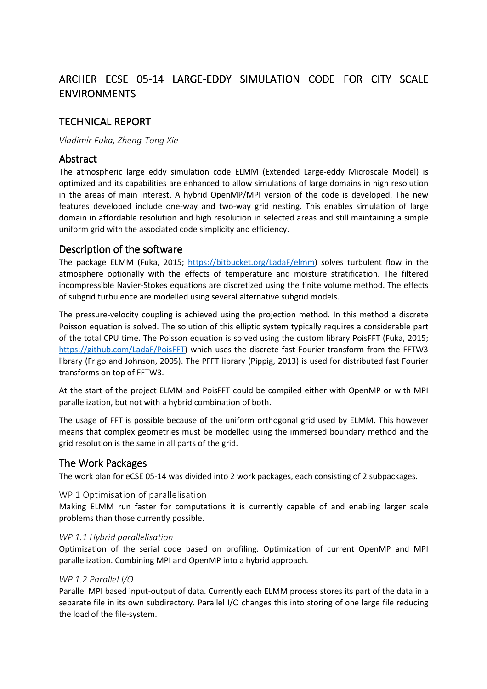# ARCHER ECSE 05-14 LARGE-EDDY SIMULATION CODE FOR CITY SCALE ENVIRONMENTS

# **TECHNICAL REPORT**

### *Vladimír Fuka, Zheng-Tong Xie*

## **Abstract**

The atmospheric large eddy simulation code ELMM (Extended Large-eddy Microscale Model) is optimized and its capabilities are enhanced to allow simulations of large domains in high resolution in the areas of main interest. A hybrid OpenMP/MPI version of the code is developed. The new features developed include one-way and two-way grid nesting. This enables simulation of large domain in affordable resolution and high resolution in selected areas and still maintaining a simple uniform grid with the associated code simplicity and efficiency.

# Description of the software

The package ELMM (Fuka, 2015; https://bitbucket.org/LadaF/elmm) solves turbulent flow in the atmosphere optionally with the effects of temperature and moisture stratification. The filtered incompressible Navier-Stokes equations are discretized using the finite volume method. The effects of subgrid turbulence are modelled using several alternative subgrid models.

The pressure-velocity coupling is achieved using the projection method. In this method a discrete Poisson equation is solved. The solution of this elliptic system typically requires a considerable part of the total CPU time. The Poisson equation is solved using the custom library PoisFFT (Fuka, 2015; https://github.com/LadaF/PoisFFT) which uses the discrete fast Fourier transform from the FFTW3 library (Frigo and Johnson, 2005). The PFFT library (Pippig, 2013) is used for distributed fast Fourier transforms on top of FFTW3.

At the start of the project ELMM and PoisFFT could be compiled either with OpenMP or with MPI parallelization, but not with a hybrid combination of both.

The usage of FFT is possible because of the uniform orthogonal grid used by ELMM. This however means that complex geometries must be modelled using the immersed boundary method and the grid resolution is the same in all parts of the grid.

## The Work Packages

The work plan for eCSE 05-14 was divided into 2 work packages, each consisting of 2 subpackages.

### WP 1 Optimisation of parallelisation

Making ELMM run faster for computations it is currently capable of and enabling larger scale problems than those currently possible.

### *WP 1.1 Hybrid parallelisation*

Optimization of the serial code based on profiling. Optimization of current OpenMP and MPI parallelization. Combining MPI and OpenMP into a hybrid approach.

### *WP 1.2 Parallel I/O*

Parallel MPI based input-output of data. Currently each ELMM process stores its part of the data in a separate file in its own subdirectory. Parallel I/O changes this into storing of one large file reducing the load of the file-system.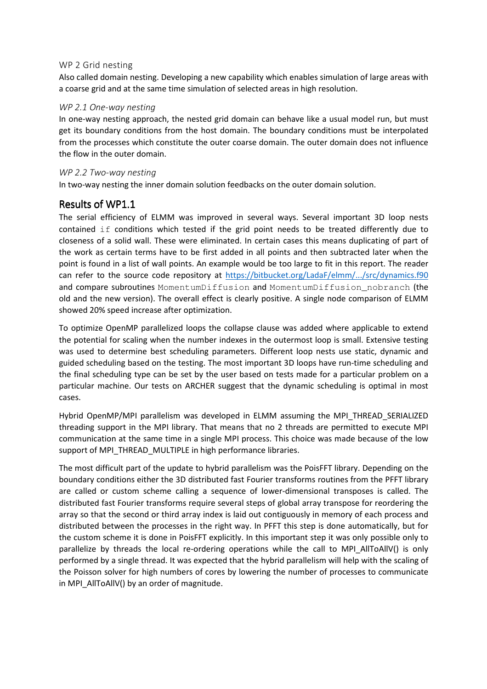#### WP 2 Grid nesting

Also called domain nesting. Developing a new capability which enables simulation of large areas with a coarse grid and at the same time simulation of selected areas in high resolution.

#### *WP 2.1 One-way nesting*

In one-way nesting approach, the nested grid domain can behave like a usual model run, but must get its boundary conditions from the host domain. The boundary conditions must be interpolated from the processes which constitute the outer coarse domain. The outer domain does not influence the flow in the outer domain.

#### *WP 2.2 Two-way nesting*

In two-way nesting the inner domain solution feedbacks on the outer domain solution.

### Results of WP1.1

The serial efficiency of ELMM was improved in several ways. Several important 3D loop nests contained if conditions which tested if the grid point needs to be treated differently due to closeness of a solid wall. These were eliminated. In certain cases this means duplicating of part of the work as certain terms have to be first added in all points and then subtracted later when the point is found in a list of wall points. An example would be too large to fit in this report. The reader can refer to the source code repository at https://bitbucket.org/LadaF/elmm/.../src/dynamics.f90 and compare subroutines MomentumDiffusion and MomentumDiffusion\_nobranch (the old and the new version). The overall effect is clearly positive. A single node comparison of ELMM showed 20% speed increase after optimization.

To optimize OpenMP parallelized loops the collapse clause was added where applicable to extend the potential for scaling when the number indexes in the outermost loop is small. Extensive testing was used to determine best scheduling parameters. Different loop nests use static, dynamic and guided scheduling based on the testing. The most important 3D loops have run-time scheduling and the final scheduling type can be set by the user based on tests made for a particular problem on a particular machine. Our tests on ARCHER suggest that the dynamic scheduling is optimal in most cases.

Hybrid OpenMP/MPI parallelism was developed in ELMM assuming the MPI\_THREAD\_SERIALIZED threading support in the MPI library. That means that no 2 threads are permitted to execute MPI communication at the same time in a single MPI process. This choice was made because of the low support of MPI\_THREAD\_MULTIPLE in high performance libraries.

The most difficult part of the update to hybrid parallelism was the PoisFFT library. Depending on the boundary conditions either the 3D distributed fast Fourier transforms routines from the PFFT library are called or custom scheme calling a sequence of lower-dimensional transposes is called. The distributed fast Fourier transforms require several steps of global array transpose for reordering the array so that the second or third array index is laid out contiguously in memory of each process and distributed between the processes in the right way. In PFFT this step is done automatically, but for the custom scheme it is done in PoisFFT explicitly. In this important step it was only possible only to parallelize by threads the local re-ordering operations while the call to MPI\_AllToAllV() is only performed by a single thread. It was expected that the hybrid parallelism will help with the scaling of the Poisson solver for high numbers of cores by lowering the number of processes to communicate in MPI\_AllToAllV() by an order of magnitude.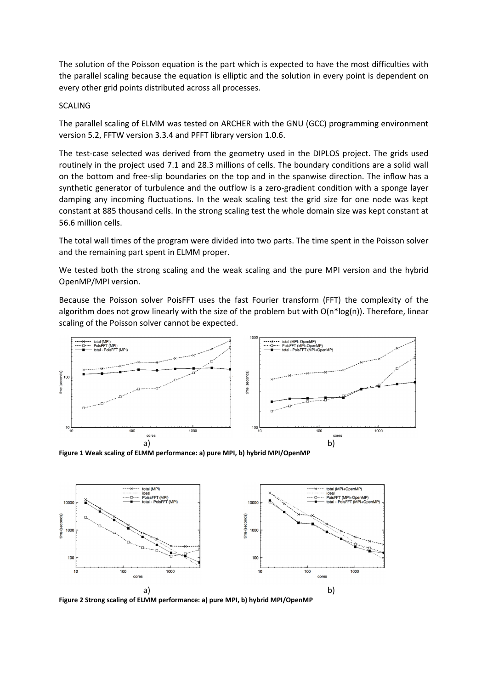The solution of the Poisson equation is the part which is expected to have the most difficulties with the parallel scaling because the equation is elliptic and the solution in every point is dependent on every other grid points distributed across all processes.

#### SCALING

The parallel scaling of ELMM was tested on ARCHER with the GNU (GCC) programming environment version 5.2, FFTW version 3.3.4 and PFFT library version 1.0.6.

The test-case selected was derived from the geometry used in the DIPLOS project. The grids used routinely in the project used 7.1 and 28.3 millions of cells. The boundary conditions are a solid wall on the bottom and free-slip boundaries on the top and in the spanwise direction. The inflow has a synthetic generator of turbulence and the outflow is a zero-gradient condition with a sponge layer damping any incoming fluctuations. In the weak scaling test the grid size for one node was kept constant at 885 thousand cells. In the strong scaling test the whole domain size was kept constant at 56.6 million cells.

The total wall times of the program were divided into two parts. The time spent in the Poisson solver and the remaining part spent in ELMM proper.

We tested both the strong scaling and the weak scaling and the pure MPI version and the hybrid OpenMP/MPI version.

Because the Poisson solver PoisFFT uses the fast Fourier transform (FFT) the complexity of the algorithm does not grow linearly with the size of the problem but with  $O(n^*log(n))$ . Therefore, linear scaling of the Poisson solver cannot be expected.



**Figure 1 Weak scaling of ELMM performance: a) pure MPI, b) hybrid MPI/OpenMP** 



**Figure 2 Strong scaling of ELMM performance: a) pure MPI, b) hybrid MPI/OpenMP**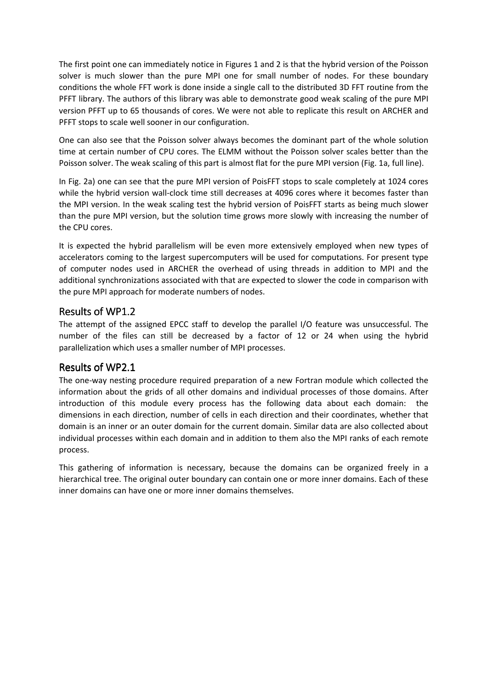The first point one can immediately notice in Figures 1 and 2 is that the hybrid version of the Poisson solver is much slower than the pure MPI one for small number of nodes. For these boundary conditions the whole FFT work is done inside a single call to the distributed 3D FFT routine from the PFFT library. The authors of this library was able to demonstrate good weak scaling of the pure MPI version PFFT up to 65 thousands of cores. We were not able to replicate this result on ARCHER and PFFT stops to scale well sooner in our configuration.

One can also see that the Poisson solver always becomes the dominant part of the whole solution time at certain number of CPU cores. The ELMM without the Poisson solver scales better than the Poisson solver. The weak scaling of this part is almost flat for the pure MPI version (Fig. 1a, full line).

In Fig. 2a) one can see that the pure MPI version of PoisFFT stops to scale completely at 1024 cores while the hybrid version wall-clock time still decreases at 4096 cores where it becomes faster than the MPI version. In the weak scaling test the hybrid version of PoisFFT starts as being much slower than the pure MPI version, but the solution time grows more slowly with increasing the number of the CPU cores.

It is expected the hybrid parallelism will be even more extensively employed when new types of accelerators coming to the largest supercomputers will be used for computations. For present type of computer nodes used in ARCHER the overhead of using threads in addition to MPI and the additional synchronizations associated with that are expected to slower the code in comparison with the pure MPI approach for moderate numbers of nodes.

# Results of WP1.2

The attempt of the assigned EPCC staff to develop the parallel I/O feature was unsuccessful. The number of the files can still be decreased by a factor of 12 or 24 when using the hybrid parallelization which uses a smaller number of MPI processes.

## Results of WP2.1

The one-way nesting procedure required preparation of a new Fortran module which collected the information about the grids of all other domains and individual processes of those domains. After introduction of this module every process has the following data about each domain: the dimensions in each direction, number of cells in each direction and their coordinates, whether that domain is an inner or an outer domain for the current domain. Similar data are also collected about individual processes within each domain and in addition to them also the MPI ranks of each remote process.

This gathering of information is necessary, because the domains can be organized freely in a hierarchical tree. The original outer boundary can contain one or more inner domains. Each of these inner domains can have one or more inner domains themselves.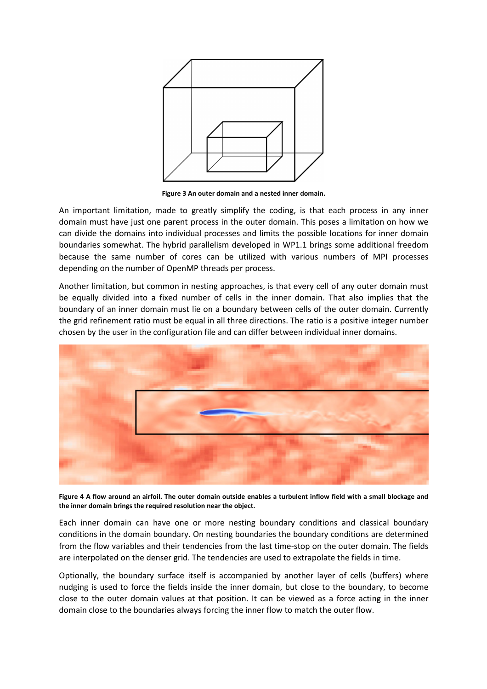

**Figure 3 An outer domain and a nested inner domain.** 

An important limitation, made to greatly simplify the coding, is that each process in any inner domain must have just one parent process in the outer domain. This poses a limitation on how we can divide the domains into individual processes and limits the possible locations for inner domain boundaries somewhat. The hybrid parallelism developed in WP1.1 brings some additional freedom because the same number of cores can be utilized with various numbers of MPI processes depending on the number of OpenMP threads per process.

Another limitation, but common in nesting approaches, is that every cell of any outer domain must be equally divided into a fixed number of cells in the inner domain. That also implies that the boundary of an inner domain must lie on a boundary between cells of the outer domain. Currently the grid refinement ratio must be equal in all three directions. The ratio is a positive integer number chosen by the user in the configuration file and can differ between individual inner domains.



**Figure 4 A flow around an airfoil. The outer domain outside enables a turbulent inflow field with a small blockage and the inner domain brings the required resolution near the object.** 

Each inner domain can have one or more nesting boundary conditions and classical boundary conditions in the domain boundary. On nesting boundaries the boundary conditions are determined from the flow variables and their tendencies from the last time-stop on the outer domain. The fields are interpolated on the denser grid. The tendencies are used to extrapolate the fields in time.

Optionally, the boundary surface itself is accompanied by another layer of cells (buffers) where nudging is used to force the fields inside the inner domain, but close to the boundary, to become close to the outer domain values at that position. It can be viewed as a force acting in the inner domain close to the boundaries always forcing the inner flow to match the outer flow.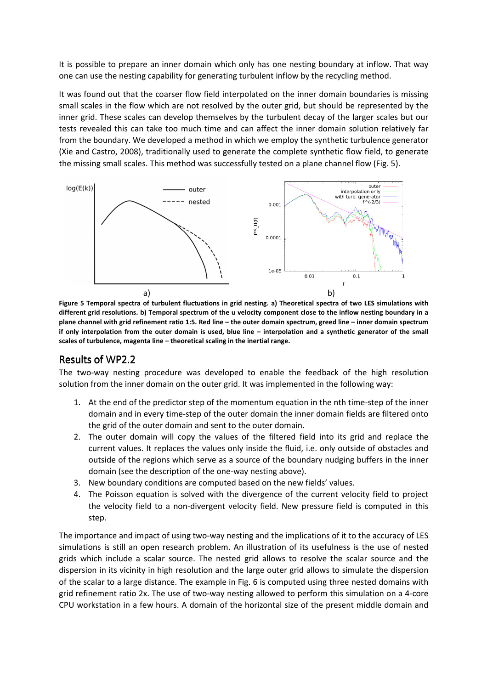It is possible to prepare an inner domain which only has one nesting boundary at inflow. That way one can use the nesting capability for generating turbulent inflow by the recycling method.

It was found out that the coarser flow field interpolated on the inner domain boundaries is missing small scales in the flow which are not resolved by the outer grid, but should be represented by the inner grid. These scales can develop themselves by the turbulent decay of the larger scales but our tests revealed this can take too much time and can affect the inner domain solution relatively far from the boundary. We developed a method in which we employ the synthetic turbulence generator (Xie and Castro, 2008), traditionally used to generate the complete synthetic flow field, to generate the missing small scales. This method was successfully tested on a plane channel flow (Fig. 5).



**Figure 5 Temporal spectra of turbulent fluctuations in grid nesting. a) Theoretical spectra of two LES simulations with different grid resolutions. b) Temporal spectrum of the u velocity component close to the inflow nesting boundary in a plane channel with grid refinement ratio 1:5. Red line – the outer domain spectrum, greed line – inner domain spectrum if only interpolation from the outer domain is used, blue line – interpolation and a synthetic generator of the small scales of turbulence, magenta line – theoretical scaling in the inertial range.** 

## Results of WP2.2

The two-way nesting procedure was developed to enable the feedback of the high resolution solution from the inner domain on the outer grid. It was implemented in the following way:

- 1. At the end of the predictor step of the momentum equation in the nth time-step of the inner domain and in every time-step of the outer domain the inner domain fields are filtered onto the grid of the outer domain and sent to the outer domain.
- 2. The outer domain will copy the values of the filtered field into its grid and replace the current values. It replaces the values only inside the fluid, i.e. only outside of obstacles and outside of the regions which serve as a source of the boundary nudging buffers in the inner domain (see the description of the one-way nesting above).
- 3. New boundary conditions are computed based on the new fields' values.
- 4. The Poisson equation is solved with the divergence of the current velocity field to project the velocity field to a non-divergent velocity field. New pressure field is computed in this step.

The importance and impact of using two-way nesting and the implications of it to the accuracy of LES simulations is still an open research problem. An illustration of its usefulness is the use of nested grids which include a scalar source. The nested grid allows to resolve the scalar source and the dispersion in its vicinity in high resolution and the large outer grid allows to simulate the dispersion of the scalar to a large distance. The example in Fig. 6 is computed using three nested domains with grid refinement ratio 2x. The use of two-way nesting allowed to perform this simulation on a 4-core CPU workstation in a few hours. A domain of the horizontal size of the present middle domain and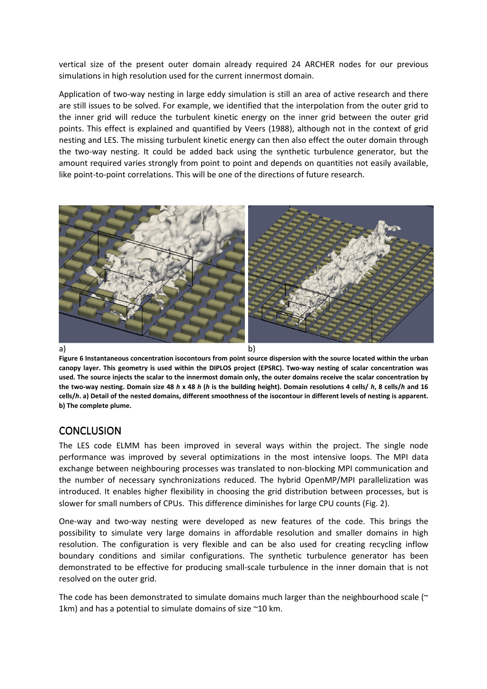vertical size of the present outer domain already required 24 ARCHER nodes for our previous simulations in high resolution used for the current innermost domain.

Application of two-way nesting in large eddy simulation is still an area of active research and there are still issues to be solved. For example, we identified that the interpolation from the outer grid to the inner grid will reduce the turbulent kinetic energy on the inner grid between the outer grid points. This effect is explained and quantified by Veers (1988), although not in the context of grid nesting and LES. The missing turbulent kinetic energy can then also effect the outer domain through the two-way nesting. It could be added back using the synthetic turbulence generator, but the amount required varies strongly from point to point and depends on quantities not easily available, like point-to-point correlations. This will be one of the directions of future research.



**Figure 6 Instantaneous concentration isocontours from point source dispersion with the source located within the urban canopy layer. This geometry is used within the DIPLOS project (EPSRC). Two-way nesting of scalar concentration was used. The source injects the scalar to the innermost domain only, the outer domains receive the scalar concentration by the two-way nesting. Domain size 48** *h* **x 48** *h* **(***h* **is the building height). Domain resolutions 4 cells/** *h***, 8 cells/***h* **and 16 cells/***h***. a) Detail of the nested domains, different smoothness of the isocontour in different levels of nesting is apparent. b) The complete plume.** 

# **CONCLUSION**

The LES code ELMM has been improved in several ways within the project. The single node performance was improved by several optimizations in the most intensive loops. The MPI data exchange between neighbouring processes was translated to non-blocking MPI communication and the number of necessary synchronizations reduced. The hybrid OpenMP/MPI parallelization was introduced. It enables higher flexibility in choosing the grid distribution between processes, but is slower for small numbers of CPUs. This difference diminishes for large CPU counts (Fig. 2).

One-way and two-way nesting were developed as new features of the code. This brings the possibility to simulate very large domains in affordable resolution and smaller domains in high resolution. The configuration is very flexible and can be also used for creating recycling inflow boundary conditions and similar configurations. The synthetic turbulence generator has been demonstrated to be effective for producing small-scale turbulence in the inner domain that is not resolved on the outer grid.

The code has been demonstrated to simulate domains much larger than the neighbourhood scale ( $\sim$ 1km) and has a potential to simulate domains of size  $\sim$  10 km.